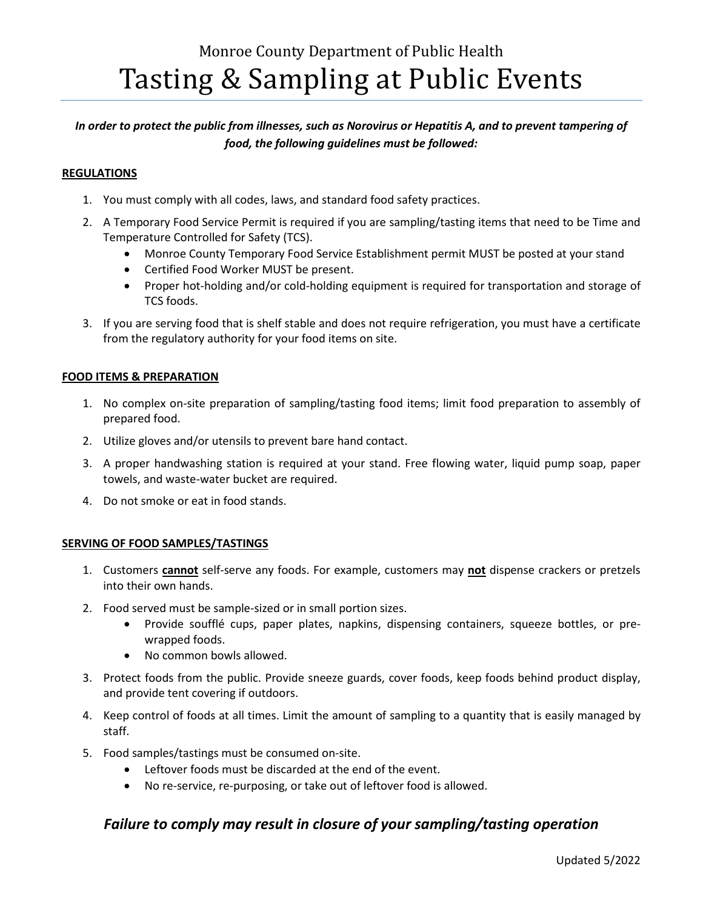# Monroe County Department of Public Health Tasting & Sampling at Public Events

# *In order to protect the public from illnesses, such as Norovirus or Hepatitis A, and to prevent tampering of food, the following guidelines must be followed:*

### **REGULATIONS**

- 1. You must comply with all codes, laws, and standard food safety practices.
- 2. A Temporary Food Service Permit is required if you are sampling/tasting items that need to be Time and Temperature Controlled for Safety (TCS).
	- Monroe County Temporary Food Service Establishment permit MUST be posted at your stand
	- Certified Food Worker MUST be present.
	- Proper hot-holding and/or cold-holding equipment is required for transportation and storage of TCS foods.
- 3. If you are serving food that is shelf stable and does not require refrigeration, you must have a certificate from the regulatory authority for your food items on site.

#### **FOOD ITEMS & PREPARATION**

- 1. No complex on-site preparation of sampling/tasting food items; limit food preparation to assembly of prepared food.
- 2. Utilize gloves and/or utensils to prevent bare hand contact.
- 3. A proper handwashing station is required at your stand. Free flowing water, liquid pump soap, paper towels, and waste-water bucket are required.
- 4. Do not smoke or eat in food stands.

#### **SERVING OF FOOD SAMPLES/TASTINGS**

- 1. Customers **cannot** self-serve any foods. For example, customers may **not** dispense crackers or pretzels into their own hands.
- 2. Food served must be sample-sized or in small portion sizes.
	- Provide soufflé cups, paper plates, napkins, dispensing containers, squeeze bottles, or prewrapped foods.
	- No common bowls allowed.
- 3. Protect foods from the public. Provide sneeze guards, cover foods, keep foods behind product display, and provide tent covering if outdoors.
- 4. Keep control of foods at all times. Limit the amount of sampling to a quantity that is easily managed by staff.
- 5. Food samples/tastings must be consumed on-site.
	- Leftover foods must be discarded at the end of the event.
	- No re-service, re-purposing, or take out of leftover food is allowed.

# *Failure to comply may result in closure of your sampling/tasting operation*